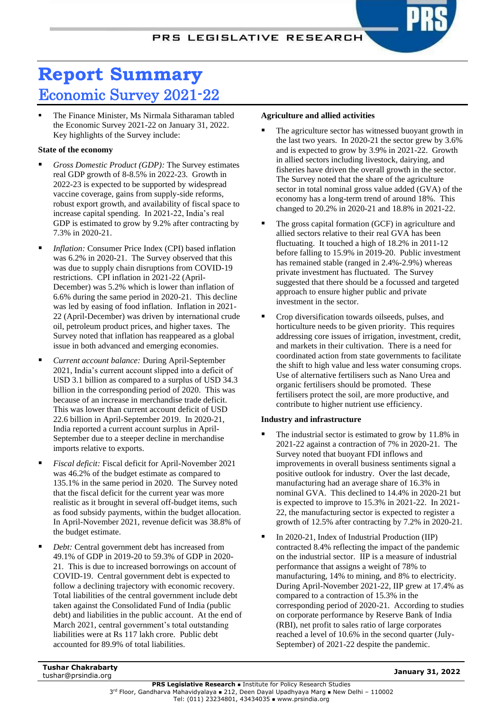# **Report Summary** Economic Survey 2021-22

The Finance Minister, Ms Nirmala Sitharaman tabled the Economic Survey 2021-22 on January 31, 2022. Key highlights of the Survey include:

# **State of the economy**

- Gross Domestic Product (GDP): The Survey estimates real GDP growth of 8-8.5% in 2022-23. Growth in 2022-23 is expected to be supported by widespread vaccine coverage, gains from supply-side reforms, robust export growth, and availability of fiscal space to increase capital spending. In 2021-22, India's real GDP is estimated to grow by 9.2% after contracting by 7.3% in 2020-21.
- *Inflation:* Consumer Price Index (CPI) based inflation was 6.2% in 2020-21. The Survey observed that this was due to supply chain disruptions from COVID-19 restrictions. CPI inflation in 2021-22 (April-December) was 5.2% which is lower than inflation of 6.6% during the same period in 2020-21. This decline was led by easing of food inflation. Inflation in 2021- 22 (April-December) was driven by international crude oil, petroleum product prices, and higher taxes. The Survey noted that inflation has reappeared as a global issue in both advanced and emerging economies.
- *Current account balance:* During April-September 2021, India's current account slipped into a deficit of USD 3.1 billion as compared to a surplus of USD 34.3 billion in the corresponding period of 2020. This was because of an increase in merchandise trade deficit. This was lower than current account deficit of USD 22.6 billion in April-September 2019. In 2020-21, India reported a current account surplus in April-September due to a steeper decline in merchandise imports relative to exports.
- *Fiscal deficit:* Fiscal deficit for April-November 2021 was 46.2% of the budget estimate as compared to 135.1% in the same period in 2020. The Survey noted that the fiscal deficit for the current year was more realistic as it brought in several off-budget items, such as food subsidy payments, within the budget allocation. In April-November 2021, revenue deficit was 38.8% of the budget estimate.
- Debt: Central government debt has increased from 49.1% of GDP in 2019-20 to 59.3% of GDP in 2020- 21. This is due to increased borrowings on account of COVID-19. Central government debt is expected to follow a declining trajectory with economic recovery. Total liabilities of the central government include debt taken against the Consolidated Fund of India (public debt) and liabilities in the public account. At the end of March 2021, central government's total outstanding liabilities were at Rs 117 lakh crore. Public debt accounted for 89.9% of total liabilities.

## **Agriculture and allied activities**

- The agriculture sector has witnessed buoyant growth in the last two years. In 2020-21 the sector grew by 3.6% and is expected to grow by 3.9% in 2021-22. Growth in allied sectors including livestock, dairying, and fisheries have driven the overall growth in the sector. The Survey noted that the share of the agriculture sector in total nominal gross value added (GVA) of the economy has a long-term trend of around 18%. This changed to 20.2% in 2020-21 and 18.8% in 2021-22.
- The gross capital formation (GCF) in agriculture and allied sectors relative to their real GVA has been fluctuating. It touched a high of 18.2% in 2011-12 before falling to 15.9% in 2019-20. Public investment has remained stable (ranged in 2.4%-2.9%) whereas private investment has fluctuated. The Survey suggested that there should be a focussed and targeted approach to ensure higher public and private investment in the sector.
- Crop diversification towards oilseeds, pulses, and horticulture needs to be given priority. This requires addressing core issues of irrigation, investment, credit, and markets in their cultivation. There is a need for coordinated action from state governments to facilitate the shift to high value and less water consuming crops. Use of alternative fertilisers such as Nano Urea and organic fertilisers should be promoted. These fertilisers protect the soil, are more productive, and contribute to higher nutrient use efficiency.

# **Industry and infrastructure**

- The industrial sector is estimated to grow by 11.8% in 2021-22 against a contraction of 7% in 2020-21. The Survey noted that buoyant FDI inflows and improvements in overall business sentiments signal a positive outlook for industry. Over the last decade, manufacturing had an average share of 16.3% in nominal GVA. This declined to 14.4% in 2020-21 but is expected to improve to 15.3% in 2021-22. In 2021- 22, the manufacturing sector is expected to register a growth of 12.5% after contracting by 7.2% in 2020-21.
- In 2020-21, Index of Industrial Production (IIP) contracted 8.4% reflecting the impact of the pandemic on the industrial sector. IIP is a measure of industrial performance that assigns a weight of 78% to manufacturing, 14% to mining, and 8% to electricity. During April-November 2021-22, IIP grew at 17.4% as compared to a contraction of 15.3% in the corresponding period of 2020-21. According to studies on corporate performance by Reserve Bank of India (RBI), net profit to sales ratio of large corporates reached a level of 10.6% in the second quarter (July-September) of 2021-22 despite the pandemic.

**Tushar Chakrabarty** tushar@prsindia.org **January 31, 2022**